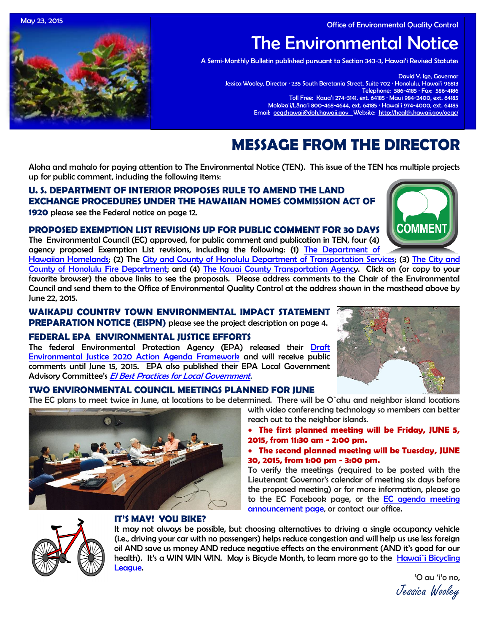May 23, 2015 Office of Environmental Quality Control

The Environmental Notice

A Semi-Monthly Bulletin published pursuant to Section 343-3, Hawai'i Revised Statutes

David Y. Ige, Governor Jessica Wooley, Director · 235 South Beretania Street, Suite 702 · Honolulu, Hawaiʻi 96813 Telephone: 586-4185 · Fax: 586-4186 Toll Free: Kauaʻi 274-3141, ext. 64185 · Maui 984-2400, ext. 64185 Molokaʻi/Lānaʻi 800-468-4644, ext. 64185 · Hawaiʻi 974-4000, ext. 64185 Email: [oeqchawaii@doh.hawaii.gov](mailto:oeqchawaii@doh.hawaii.gov) Website:<http://health.hawaii.gov/oeqc/>

# **MESSAGE FROM THE DIRECTOR**

Aloha and mahalo for paying attention to The Environmental Notice (TEN). This issue of the TEN has multiple projects up for public comment, including the following items:

## **U. S. DEPARTMENT OF INTERIOR PROPOSES RULE TO AMEND THE LAND EXCHANGE PROCEDURES UNDER THE HAWAIIAN HOMES COMMISSION ACT OF**

**1920** please see the Federal notice on page 12.

## **PROPOSED EXEMPTION LIST REVISIONS UP FOR PUBLIC COMMENT FOR 30 DAYS**

The Environmental Council (EC) approved, for public comment and publication in TEN, four (4) agency proposed Exemption List revisions, including the following: (1) [The Department of](http://oeqc.doh.hawaii.gov/Shared%20Documents/EA_and_EIS_Online_Library/Exemption%20Notices/DHHL%20Exemption%20List_PROPOSED_Ramseyer_EC-OEQC_5-21-2015.pdf) 

[Hawaiian Homelands;](http://oeqc.doh.hawaii.gov/Shared%20Documents/EA_and_EIS_Online_Library/Exemption%20Notices/DHHL%20Exemption%20List_PROPOSED_Ramseyer_EC-OEQC_5-21-2015.pdf) (2) The [City and County of Honolulu Department of Transportation Services;](http://oeqc.doh.hawaii.gov/Shared%20Documents/EA_and_EIS_Online_Library/Exemption%20Notices/CC-H-Dept.-of-Transportation-Services-Exemption-List.pdf) (3) The City and [County of Honolulu Fire Department;](http://oeqc.doh.hawaii.gov/Shared%20Documents/EA_and_EIS_Online_Library/Exemption%20Notices/Honolulu-Fire-Dept.-Exemption-List.pdf) and (4) [The Kauai County Transportation Agency](http://oeqc.doh.hawaii.gov/Shared%20Documents/EA_and_EIS_Online_Library/Exemption%20Notices/Kauai-Transportation-Agency-Exemption-List.pdf). Click on (or copy to your favorite browser) the above links to see the proposals. Please address comments to the Chair of the Environmental Council and send them to the Office of Environmental Quality Control at the address shown in the masthead above by June 22, 2015.

**WAIKAPU COUNTRY TOWN ENVIRONMENTAL IMPACT STATEMENT PREPARATION NOTICE (EISPN)** please see the project description on page 4.

## **[FEDERAL EPA ENVIRONMENTAL JUSTICE EFFORTS](http://www.epa.gov/environmentaljustice/index.html)**

The federal Environmental Protection Agency (EPA) released their [Draft](http://www.epa.gov/environmentaljustice/resources/policy/ej2020/draft-framework.pdf)  [Environmental Justice 2020 Action Agenda Framework](http://www.epa.gov/environmentaljustice/resources/policy/ej2020/draft-framework.pdf) and will receive public comments until June 15, 2015. EPA also published their EPA Local Government Advisory Committee's El Best Practices for Local Government.

## **TWO ENVIRONMENTAL COUNCIL MEETINGS PLANNED FOR JUNE**

The EC plans to meet twice in June, at locations to be determined. There will be O`ahu and neighbor island locations



with video conferencing technology so members can better reach out to the neighbor islands.

- **The first planned meeting will be Friday, JUNE 5, 2015, from 11:30 am - 2:00 pm.**
- **The second planned meeting will be Tuesday, JUNE 30, 2015, from 1:00 pm - 3:00 pm.**

To verify the meetings (required to be posted with the Lieutenant Governor's calendar of meeting six days before the proposed meeting) or for more information, please go to the EC Facebook page, or the [EC agenda meeting](http://calendar.ehawaii.gov/calendar/html/event/2015/5/23/?viewperiod=3¤tViewtype=2&viewtype=2)  [announcement page,](http://calendar.ehawaii.gov/calendar/html/event/2015/5/23/?viewperiod=3¤tViewtype=2&viewtype=2) or contact our office.



## **IT'S MAY! YOU BIKE?**

It may not always be possible, but choosing alternatives to driving a single occupancy vehicle (i.e., driving your car with no passengers) helps reduce congestion and will help us use less foreign oil AND save us money AND reduce negative effects on the environment (AND it's good for our health). It's a WIN WIN WIN. May is Bicycle Month, to learn more go to the Hawai`i Bicycling [League.](https://www.hbl.org/)

'O au 'i'o no, Jessica Wooley



**COMMENT**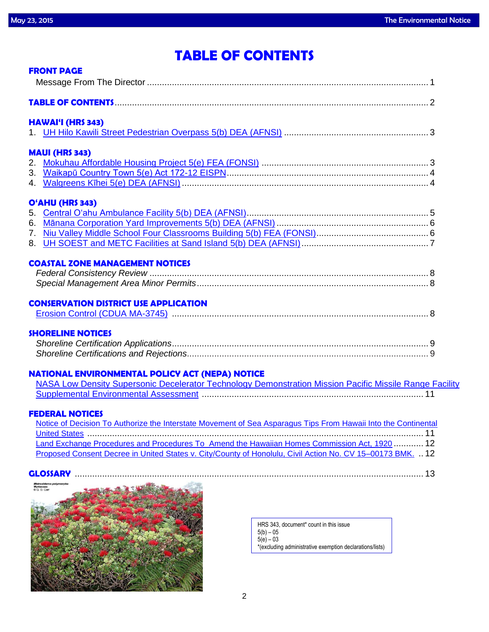# **TABLE OF CONTENTS**

| <b>FRONT PAGE</b>                                                                                              |  |
|----------------------------------------------------------------------------------------------------------------|--|
|                                                                                                                |  |
|                                                                                                                |  |
| <b>HAWAI'I (HRS 343)</b>                                                                                       |  |
|                                                                                                                |  |
| <b>MAUI (HRS 343)</b>                                                                                          |  |
|                                                                                                                |  |
|                                                                                                                |  |
|                                                                                                                |  |
| O'AHU (HRS 343)                                                                                                |  |
|                                                                                                                |  |
|                                                                                                                |  |
|                                                                                                                |  |
|                                                                                                                |  |
| <b>COASTAL ZONE MANAGEMENT NOTICES</b>                                                                         |  |
|                                                                                                                |  |
|                                                                                                                |  |
|                                                                                                                |  |
| <b>CONSERVATION DISTRICT USE APPLICATION</b>                                                                   |  |
|                                                                                                                |  |
| <b>SHORELINE NOTICES</b>                                                                                       |  |
|                                                                                                                |  |
|                                                                                                                |  |
| <b>NATIONAL ENVIRONMENTAL POLICY ACT (NEPA) NOTICE</b>                                                         |  |
| NASA Low Density Supersonic Decelerator Technology Demonstration Mission Pacific Missile Range Facility        |  |
|                                                                                                                |  |
| <b>FEDERAL NOTICES</b>                                                                                         |  |
| Notice of Decision To Authorize the Interstate Movement of Sea Asparagus Tips From Hawaii Into the Continental |  |
|                                                                                                                |  |
| Land Exchange Procedures and Procedures To Amend the Hawaiian Homes Commission Act, 1920  12                   |  |
| Proposed Consent Decree in United States v. City/County of Honolulu, Civil Action No. CV 15-00173 BMK.  12     |  |

## **GLOSSARY** ............................................................................................................................................ 13



HRS 343, document\* count in this issue 5(b) – 05 5(e) – 03 \*(excluding administrative exemption declarations/lists)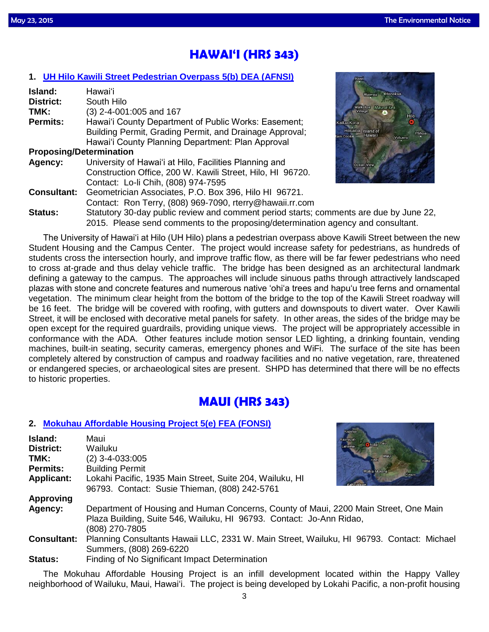# **HAWAI'I (HRS 343)**

## **1. [UH Hilo Kawili Street Pedestrian Overpass 5\(b\) DEA \(AFNSI\)](http://oeqc.doh.hawaii.gov/Shared%20Documents/EA_and_EIS_Online_Library/Hawaii/2010s/2015-05-23-HA-5B-DEA-UH-Hilo-Kawili-Street-Pedestrian-Overpass.pdf)**

| Island:                        | Hawai'i                                                      |
|--------------------------------|--------------------------------------------------------------|
| <b>District:</b>               | South Hilo                                                   |
| TMK:                           | (3) 2-4-001:005 and 167                                      |
| <b>Permits:</b>                | Hawai'i County Department of Public Works: Easement;         |
|                                | Building Permit, Grading Permit, and Drainage Approval;      |
|                                | Hawai'i County Planning Department: Plan Approval            |
| <b>Proposing/Determination</b> |                                                              |
| Agency:                        | University of Hawai'i at Hilo, Facilities Planning and       |
|                                | Construction Office, 200 W. Kawili Street, Hilo, HI 96720.   |
|                                | Contact: Lo-li Chih, (808) 974-7595                          |
| <b>Consultant:</b>             | Geometrician Associates, P.O. Box 396, Hilo HI 96721.        |
|                                | Contact: Ron Terry, (808) 969-7090, rterry@hawaii.rr.com     |
| $C_{4}$ $A_{1}$ $A_{2}$        | Statutory 20 day public review and comment period eterter of |



**Status:** Statutory 30-day public review and comment period starts; comments are due by June 22, 2015. Please send comments to the proposing/determination agency and consultant.

The University of Hawai'i at Hilo (UH Hilo) plans a pedestrian overpass above Kawili Street between the new Student Housing and the Campus Center. The project would increase safety for pedestrians, as hundreds of students cross the intersection hourly, and improve traffic flow, as there will be far fewer pedestrians who need to cross at-grade and thus delay vehicle traffic. The bridge has been designed as an architectural landmark defining a gateway to the campus. The approaches will include sinuous paths through attractively landscaped plazas with stone and concrete features and numerous native 'ohi'a trees and hapu'u tree ferns and ornamental vegetation. The minimum clear height from the bottom of the bridge to the top of the Kawili Street roadway will be 16 feet. The bridge will be covered with roofing, with gutters and downspouts to divert water. Over Kawili Street, it will be enclosed with decorative metal panels for safety. In other areas, the sides of the bridge may be open except for the required guardrails, providing unique views. The project will be appropriately accessible in conformance with the ADA. Other features include motion sensor LED lighting, a drinking fountain, vending machines, built-in seating, security cameras, emergency phones and WiFi. The surface of the site has been completely altered by construction of campus and roadway facilities and no native vegetation, rare, threatened or endangered species, or archaeological sites are present. SHPD has determined that there will be no effects to historic properties.

# **MAUI (HRS 343)**

## **2. [Mokuhau Affordable Housing Project 5\(e\) FEA \(FONSI\)](http://oeqc.doh.hawaii.gov/Shared%20Documents/EA_and_EIS_Online_Library/Maui/2010s/2015-05-23-MA-5E-FEA-Mokuhau-Affordable-Housing-Project.pdf)**

| Island:<br>District:<br>TMK:<br>Permits:<br><b>Applicant:</b> | <b>Kapalua</b><br>Maui<br>Kaanapali<br><b>Chului</b> Pata<br>Lahaina<br>Wailuku<br>Mau<br>$(2)$ 3-4-033:005<br>Kihei<br>Hana<br><b>Building Permit</b><br>Wailea-Makena<br>Kaupo<br>Lokahi Pacific, 1935 Main Street, Suite 204, Wailuku, HI<br>96793. Contact: Susie Thieman, (808) 242-5761 |
|---------------------------------------------------------------|-----------------------------------------------------------------------------------------------------------------------------------------------------------------------------------------------------------------------------------------------------------------------------------------------|
| <b>Approving</b>                                              |                                                                                                                                                                                                                                                                                               |
|                                                               |                                                                                                                                                                                                                                                                                               |
| Agency:                                                       | Department of Housing and Human Concerns, County of Maui, 2200 Main Street, One Main<br>Plaza Building, Suite 546, Wailuku, HI 96793. Contact: Jo-Ann Ridao,<br>(808) 270-7805                                                                                                                |
| <b>Consultant:</b>                                            | Planning Consultants Hawaii LLC, 2331 W. Main Street, Wailuku, HI 96793. Contact: Michael                                                                                                                                                                                                     |
|                                                               | Summers, (808) 269-6220                                                                                                                                                                                                                                                                       |
| Status:                                                       | Finding of No Significant Impact Determination                                                                                                                                                                                                                                                |

**Status:** Finding of No Significant Impact Determination

The Mokuhau Affordable Housing Project is an infill development located within the Happy Valley neighborhood of Wailuku, Maui, Hawai'i. The project is being developed by Lokahi Pacific, a non-profit housing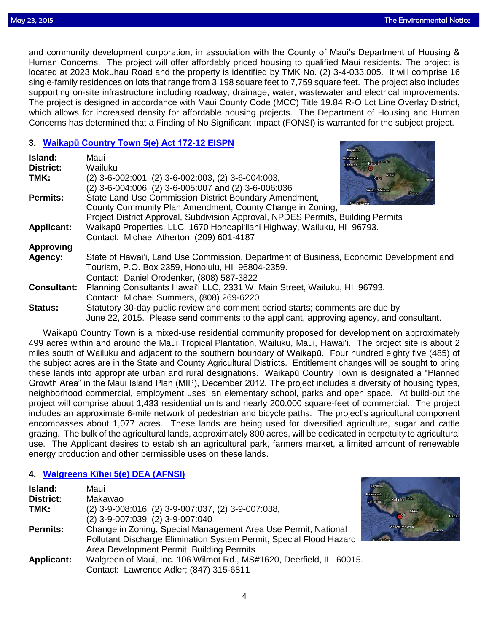Kapalua

 and community development corporation, in association with the County of Maui's Department of Housing & Human Concerns. The project will offer affordably priced housing to qualified Maui residents. The project is located at 2023 Mokuhau Road and the property is identified by TMK No. (2) 3-4-033:005. It will comprise 16 single-family residences on lots that range from 3,198 square feet to 7,759 square feet. The project also includes supporting on-site infrastructure including roadway, drainage, water, wastewater and electrical improvements. The project is designed in accordance with Maui County Code (MCC) Title 19.84 R-O Lot Line Overlay District, which allows for increased density for affordable housing projects. The Department of Housing and Human Concerns has determined that a Finding of No Significant Impact (FONSI) is warranted for the subject project.

## **3. [Waikapū Country Town 5\(e\) Act 172-12 EISPN](http://oeqc.doh.hawaii.gov/Shared%20Documents/EA_and_EIS_Online_Library/Maui/2010s/2015-05-23-MA-5E-Act-172-12-EISPN-Waikapu-Country-Town.pdf)**

| Island:            | Maui<br><b>Kaanapa</b><br>Kahului Paia                                                  |
|--------------------|-----------------------------------------------------------------------------------------|
| <b>District:</b>   | Lahaina<br>Wailuku                                                                      |
| TMK:               | Maui<br>$(2)$ 3-6-002:001, $(2)$ 3-6-002:003, $(2)$ 3-6-004:003,<br><b>Kihei</b>        |
|                    | (2) 3-6-004:006, (2) 3-6-005:007 and (2) 3-6-006:036<br>Wailea-Makena                   |
| <b>Permits:</b>    | Kaupo<br>State Land Use Commission District Boundary Amendment,                         |
|                    | County Community Plan Amendment, County Change in Zoning,                               |
|                    | Project District Approval, Subdivision Approval, NPDES Permits, Building Permits        |
| <b>Applicant:</b>  | Waikapū Properties, LLC, 1670 Honoapi'ilani Highway, Wailuku, HI 96793.                 |
|                    | Contact: Michael Atherton, (209) 601-4187                                               |
| <b>Approving</b>   |                                                                                         |
| Agency:            | State of Hawai'i, Land Use Commission, Department of Business, Economic Development and |
|                    | Tourism, P.O. Box 2359, Honolulu, HI 96804-2359.                                        |
|                    | Contact: Daniel Orodenker, (808) 587-3822                                               |
| <b>Consultant:</b> | Planning Consultants Hawai'i LLC, 2331 W. Main Street, Wailuku, HI 96793.               |
|                    | Contact: Michael Summers, (808) 269-6220                                                |
| <b>Status:</b>     | Statutory 30-day public review and comment period starts; comments are due by           |
|                    | June 22, 2015. Please send comments to the applicant, approving agency, and consultant. |

Waikapū Country Town is a mixed-use residential community proposed for development on approximately 499 acres within and around the Maui Tropical Plantation, Wailuku, Maui, Hawai'i. The project site is about 2 miles south of Wailuku and adjacent to the southern boundary of Waikapū. Four hundred eighty five (485) of the subject acres are in the State and County Agricultural Districts. Entitlement changes will be sought to bring these lands into appropriate urban and rural designations. Waikapū Country Town is designated a "Planned Growth Area" in the Maui Island Plan (MIP), December 2012. The project includes a diversity of housing types, neighborhood commercial, employment uses, an elementary school, parks and open space. At build-out the project will comprise about 1,433 residential units and nearly 200,000 square-feet of commercial. The project includes an approximate 6-mile network of pedestrian and bicycle paths. The project's agricultural component encompasses about 1,077 acres. These lands are being used for diversified agriculture, sugar and cattle grazing. The bulk of the agricultural lands, approximately 800 acres, will be dedicated in perpetuity to agricultural use. The Applicant desires to establish an agricultural park, farmers market, a limited amount of renewable energy production and other permissible uses on these lands.

## **4. [Walgreens Kīhei 5\(e\) DEA \(AFNSI\)](http://oeqc.doh.hawaii.gov/Shared%20Documents/EA_and_EIS_Online_Library/Maui/2010s/2015-05-23-MA-5E-Walgreens-Kihei-DEA-SMA-5-6-15_CD.pdf)**

| Island:           | Maui                                                                 | Kapalua              |
|-------------------|----------------------------------------------------------------------|----------------------|
| <b>District:</b>  | Makawao                                                              | Kaanapali<br>Lahaina |
| TMK:              | $(2)$ 3-9-008:016; (2) 3-9-007:037, (2) 3-9-007:038,                 |                      |
|                   | (2) 3-9-007:039, (2) 3-9-007:040                                     |                      |
| <b>Permits:</b>   | Change in Zoning, Special Management Area Use Permit, National       |                      |
|                   | Pollutant Discharge Elimination System Permit, Special Flood Hazard  | Kabalo               |
|                   | Area Development Permit, Building Permits                            |                      |
| <b>Applicant:</b> | Walgreen of Maui, Inc. 106 Wilmot Rd., MS#1620, Deerfield, IL 60015. |                      |
|                   | Contact: Lawrence Adler; (847) 315-6811                              |                      |

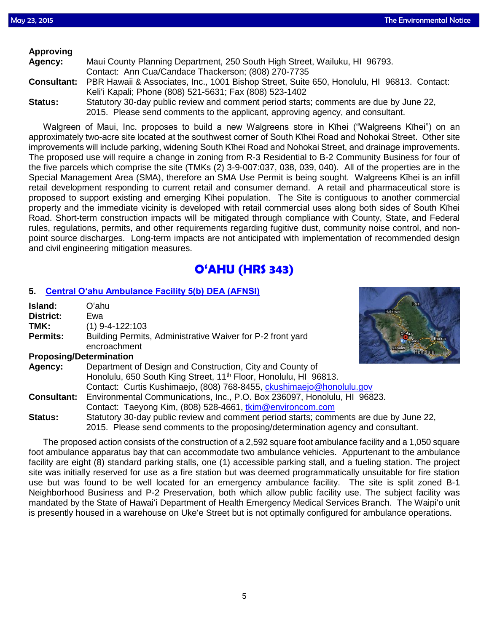| <b>Approving</b> |                                                                                                        |
|------------------|--------------------------------------------------------------------------------------------------------|
| Agency:          | Maui County Planning Department, 250 South High Street, Wailuku, HI 96793.                             |
|                  | Contact: Ann Cua/Candace Thackerson; (808) 270-7735                                                    |
|                  | Consultant: PBR Hawaii & Associates, Inc., 1001 Bishop Street, Suite 650, Honolulu, HI 96813. Contact: |
|                  | Keli'i Kapali; Phone (808) 521-5631; Fax (808) 523-1402                                                |
| Status:          | Statutory 30-day public review and comment period starts; comments are due by June 22,                 |
|                  | 2015. Please send comments to the applicant, approving agency, and consultant.                         |

Walgreen of Maui, Inc. proposes to build a new Walgreens store in Kīhei ("Walgreens Kīhei") on an approximately two-acre site located at the southwest corner of South Kīhei Road and Nohokai Street. Other site improvements will include parking, widening South Kīhei Road and Nohokai Street, and drainage improvements. The proposed use will require a change in zoning from R-3 Residential to B-2 Community Business for four of the five parcels which comprise the site (TMKs (2) 3-9-007:037, 038, 039, 040). All of the properties are in the Special Management Area (SMA), therefore an SMA Use Permit is being sought. Walgreens Kīhei is an infill retail development responding to current retail and consumer demand. A retail and pharmaceutical store is proposed to support existing and emerging Kīhei population. The Site is contiguous to another commercial property and the immediate vicinity is developed with retail commercial uses along both sides of South Kīhei Road. Short-term construction impacts will be mitigated through compliance with County, State, and Federal rules, regulations, permits, and other requirements regarding fugitive dust, community noise control, and nonpoint source discharges. Long-term impacts are not anticipated with implementation of recommended design and civil engineering mitigation measures.

# **O'AHU (HRS 343)**

### **5. [Central O'ahu Ambulance Facility 5\(b\) DEA \(AFNSI\)](http://oeqc.doh.hawaii.gov/Shared%20Documents/EA_and_EIS_Online_Library/Oahu/2010s/2015-05-23-OA-5B-DEA-Central-Oahu-Ambulance-Facility.pdf)**

| Island:                        | <b>Laie</b><br>Oʻahu                                                                   |
|--------------------------------|----------------------------------------------------------------------------------------|
| <b>District:</b>               | Haleiwa<br>Ewa                                                                         |
| TMK:                           | (1) 9-4-122:103                                                                        |
| <b>Permits:</b>                | $O^{\prime}$ ahu<br>Building Permits, Administrative Waiver for P-2 front yard<br>Alea |
|                                | encroachment                                                                           |
| <b>Proposing/Determination</b> |                                                                                        |
| Agency:                        | Department of Design and Construction, City and County of                              |
|                                | Honolulu, 650 South King Street, 11 <sup>th</sup> Floor, Honolulu, HI 96813.           |
|                                | Contact: Curtis Kushimaejo, (808) 768-8455, ckushimaejo@honolulu.gov                   |
| <b>Consultant:</b>             | Environmental Communications, Inc., P.O. Box 236097, Honolulu, HI 96823.               |
|                                | Contact: Taeyong Kim, (808) 528-4661, tkim@environcom.com                              |
| <b>Status:</b>                 | Statutory 30-day public review and comment period starts; comments are due by June 22, |
|                                | 2015. Please send comments to the proposing/determination agency and consultant.       |

The proposed action consists of the construction of a 2,592 square foot ambulance facility and a 1,050 square foot ambulance apparatus bay that can accommodate two ambulance vehicles. Appurtenant to the ambulance facility are eight (8) standard parking stalls, one (1) accessible parking stall, and a fueling station. The project site was initially reserved for use as a fire station but was deemed programmatically unsuitable for fire station use but was found to be well located for an emergency ambulance facility. The site is split zoned B-1 Neighborhood Business and P-2 Preservation, both which allow public facility use. The subject facility was mandated by the State of Hawai'i Department of Health Emergency Medical Services Branch. The Waipiʻo unit is presently housed in a warehouse on Uke'e Street but is not optimally configured for ambulance operations.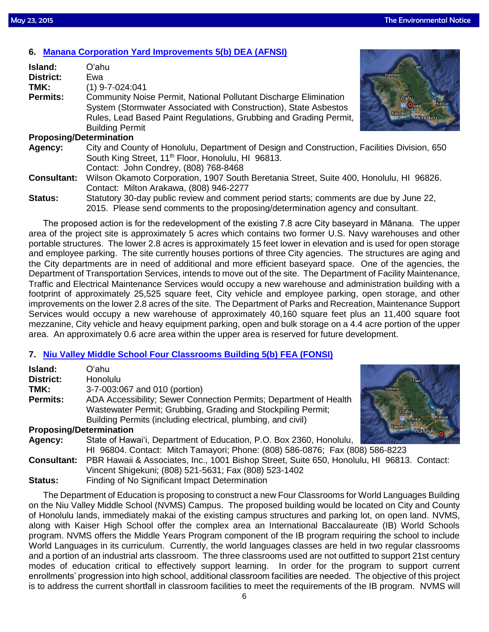## **6. [Manana Corporation Yard Improvements 5\(b\) DEA \(AFNSI\)](http://oeqc.doh.hawaii.gov/Shared%20Documents/EA_and_EIS_Online_Library/Oahu/2010s/2015-05-23-OA-5B-DEA-Manana-Corporation-Yard-Improvements.pdf)**

| Island:                        | Laie<br>Oʻahu                                                                                                                                                               |  |  |
|--------------------------------|-----------------------------------------------------------------------------------------------------------------------------------------------------------------------------|--|--|
| <b>District:</b>               | Ewa                                                                                                                                                                         |  |  |
| TMK:                           | $(1)$ 9-7-024:041                                                                                                                                                           |  |  |
| <b>Permits:</b>                | Community Noise Permit, National Pollutant Discharge Elimination<br>Oʻahu.<br><b>HT</b> Aiea<br>System (Stormwater Associated with Construction), State Asbestos<br>Kapolei |  |  |
|                                | Rules, Lead Based Paint Regulations, Grubbing and Grading Permit,<br>Honolulu                                                                                               |  |  |
|                                | <b>Building Permit</b>                                                                                                                                                      |  |  |
| <b>Proposing/Determination</b> |                                                                                                                                                                             |  |  |
| Agency:                        | City and County of Honolulu, Department of Design and Construction, Facilities Division, 650                                                                                |  |  |
|                                | South King Street, 11 <sup>th</sup> Floor, Honolulu, HI 96813.                                                                                                              |  |  |
|                                | Contact: John Condrey, (808) 768-8468                                                                                                                                       |  |  |
| <b>Consultant:</b>             | Wilson Okamoto Corporation, 1907 South Beretania Street, Suite 400, Honolulu, HI 96826.                                                                                     |  |  |
|                                | Contact: Milton Arakawa, (808) 946-2277                                                                                                                                     |  |  |
| <b>Status:</b>                 | Statutory 30-day public review and comment period starts; comments are due by June 22,                                                                                      |  |  |
|                                | 2015. Please send comments to the proposing/determination agency and consultant.                                                                                            |  |  |

The proposed action is for the redevelopment of the existing 7.8 acre City baseyard in Mānana. The upper area of the project site is approximately 5 acres which contains two former U.S. Navy warehouses and other portable structures. The lower 2.8 acres is approximately 15 feet lower in elevation and is used for open storage and employee parking. The site currently houses portions of three City agencies. The structures are aging and the City departments are in need of additional and more efficient baseyard space. One of the agencies, the Department of Transportation Services, intends to move out of the site. The Department of Facility Maintenance, Traffic and Electrical Maintenance Services would occupy a new warehouse and administration building with a footprint of approximately 25,525 square feet, City vehicle and employee parking, open storage, and other improvements on the lower 2.8 acres of the site. The Department of Parks and Recreation, Maintenance Support Services would occupy a new warehouse of approximately 40,160 square feet plus an 11,400 square foot mezzanine, City vehicle and heavy equipment parking, open and bulk storage on a 4.4 acre portion of the upper area. An approximately 0.6 acre area within the upper area is reserved for future development.

## **7. [Niu Valley Middle School Four Classrooms Building 5\(b\) FEA \(FONSI\)](http://oeqc.doh.hawaii.gov/Shared%20Documents/EA_and_EIS_Online_Library/Oahu/2010s/2015-05-23-OA-5B-FEA-Niu-Valley-Middle-School-Four-Classrooms-Building.pdf)**

| <b>Island:</b><br>District:<br>TMK:<br><b>Permits:</b> | Oʻahu<br><b>Honolulu</b><br>3-7-003:067 and 010 (portion)<br>ADA Accessibility; Sewer Connection Permits; Department of Health<br>Wastewater Permit; Grubbing, Grading and Stockpiling Permit;<br>Building Permits (including electrical, plumbing, and civil) | Haleiwa<br>O'ahu<br>Alea |
|--------------------------------------------------------|----------------------------------------------------------------------------------------------------------------------------------------------------------------------------------------------------------------------------------------------------------------|--------------------------|
| <b>Proposing/Determination</b>                         |                                                                                                                                                                                                                                                                | Kapolei<br>Honolulu      |
| Agency:                                                | State of Hawai'i, Department of Education, P.O. Box 2360, Honolulu,                                                                                                                                                                                            |                          |
|                                                        | HI 96804. Contact: Mitch Tamayori; Phone: (808) 586-0876; Fax (808) 586-8223                                                                                                                                                                                   |                          |
| <b>Consultant:</b>                                     | PBR Hawaii & Associates, Inc., 1001 Bishop Street, Suite 650, Honolulu, HI 96813. Contact:                                                                                                                                                                     |                          |
|                                                        | Vincent Shigekuni; (808) 521-5631; Fax (808) 523-1402                                                                                                                                                                                                          |                          |
| <b>Status:</b>                                         | Finding of No Significant Impact Determination                                                                                                                                                                                                                 |                          |

The Department of Education is proposing to construct a new Four Classrooms for World Languages Building on the Niu Valley Middle School (NVMS) Campus. The proposed building would be located on City and County of Honolulu lands, immediately makai of the existing campus structures and parking lot, on open land. NVMS, along with Kaiser High School offer the complex area an International Baccalaureate (IB) World Schools program. NVMS offers the Middle Years Program component of the IB program requiring the school to include World Languages in its curriculum. Currently, the world languages classes are held in two regular classrooms and a portion of an industrial arts classroom. The three classrooms used are not outfitted to support 21st century modes of education critical to effectively support learning. In order for the program to support current enrollments' progression into high school, additional classroom facilities are needed. The objective of this project is to address the current shortfall in classroom facilities to meet the requirements of the IB program. NVMS will

6

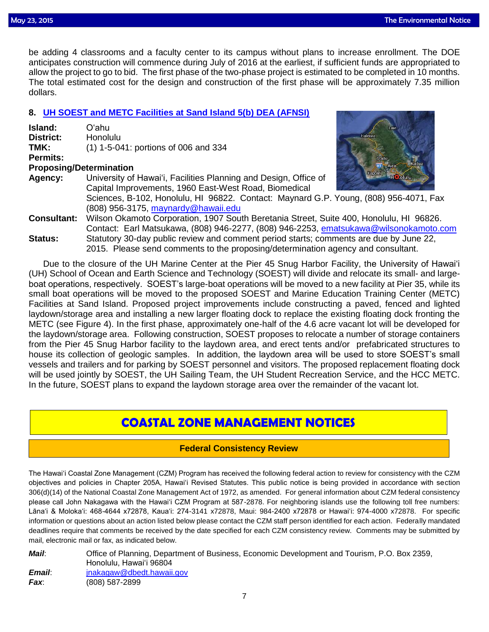be adding 4 classrooms and a faculty center to its campus without plans to increase enrollment. The DOE anticipates construction will commence during July of 2016 at the earliest, if sufficient funds are appropriated to allow the project to go to bid. The first phase of the two-phase project is estimated to be completed in 10 months. The total estimated cost for the design and construction of the first phase will be approximately 7.35 million dollars.

## **8. [UH SOEST and METC Facilities at Sand Island 5\(b\) DEA \(AFNSI\)](http://oeqc.doh.hawaii.gov/Shared%20Documents/EA_and_EIS_Online_Library/Oahu/2010s/2015-05-23-OA-5B-DEA-UH-SOEST-and-METC-Facilities-at-Sand-Island.pdf)**

| Island:         | O'ahu                                                            |
|-----------------|------------------------------------------------------------------|
| District:       | <b>Honolulu</b>                                                  |
| TMK:            | (1) 1-5-041: portions of 006 and 334                             |
| <b>Permits:</b> |                                                                  |
|                 | <b>Proposing/Determination</b>                                   |
| Agency:         | University of Hawai'i, Facilities Planning and Design, Office of |
|                 | Capital Improvements, 1960 East-West Road, Biomedical            |



Sciences, B-102, Honolulu, HI 96822. Contact: Maynard G.P. Young, (808) 956-4071, Fax (808) 956-3175, [maynardy@hawaii.edu](mailto:maynardy@hawaii.edu)

**Consultant:** Wilson Okamoto Corporation, 1907 South Beretania Street, Suite 400, Honolulu, HI 96826. Contact: Earl Matsukawa, (808) 946-2277, (808) 946-2253, [ematsukawa@wilsonokamoto.com](mailto:ematsukawa@wilsonokamoto.com) **Status:** Statutory 30-day public review and comment period starts; comments are due by June 22, 2015. Please send comments to the proposing/determination agency and consultant.

Due to the closure of the UH Marine Center at the Pier 45 Snug Harbor Facility, the University of Hawai'i (UH) School of Ocean and Earth Science and Technology (SOEST) will divide and relocate its small- and largeboat operations, respectively. SOEST's large-boat operations will be moved to a new facility at Pier 35, while its small boat operations will be moved to the proposed SOEST and Marine Education Training Center (METC) Facilities at Sand Island. Proposed project improvements include constructing a paved, fenced and lighted laydown/storage area and installing a new larger floating dock to replace the existing floating dock fronting the METC (see Figure 4). In the first phase, approximately one-half of the 4.6 acre vacant lot will be developed for the laydown/storage area. Following construction, SOEST proposes to relocate a number of storage containers from the Pier 45 Snug Harbor facility to the laydown area, and erect tents and/or prefabricated structures to house its collection of geologic samples. In addition, the laydown area will be used to store SOEST's small vessels and trailers and for parking by SOEST personnel and visitors. The proposed replacement floating dock will be used jointly by SOEST, the UH Sailing Team, the UH Student Recreation Service, and the HCC METC. In the future, SOEST plans to expand the laydown storage area over the remainder of the vacant lot.

# **COASTAL ZONE MANAGEMENT NOTICES**

## **Federal Consistency Review**

The Hawai'i Coastal Zone Management (CZM) Program has received the following federal action to review for consistency with the CZM objectives and policies in Chapter 205A, Hawai'i Revised Statutes. This public notice is being provided in accordance with section 306(d)(14) of the National Coastal Zone Management Act of 1972, as amended. For general information about CZM federal consistency please call John Nakagawa with the Hawai'i CZM Program at 587-2878. For neighboring islands use the following toll free numbers: Lāna'i & Moloka'i: 468-4644 x72878, Kaua'i: 274-3141 x72878, Maui: 984-2400 x72878 or Hawai'i: 974-4000 x72878. For specific information or questions about an action listed below please contact the CZM staff person identified for each action. Federally mandated deadlines require that comments be received by the date specified for each CZM consistency review. Comments may be submitted by mail, electronic mail or fax, as indicated below.

| Mail:  | Office of Planning, Department of Business, Economic Development and Tourism, P.O. Box 2359, |
|--------|----------------------------------------------------------------------------------------------|
|        | Honolulu. Hawaiʻi 96804                                                                      |
| Email: | jnakagaw@dbedt.hawaii.gov                                                                    |
| Fax:   | $(808)$ 587-2899                                                                             |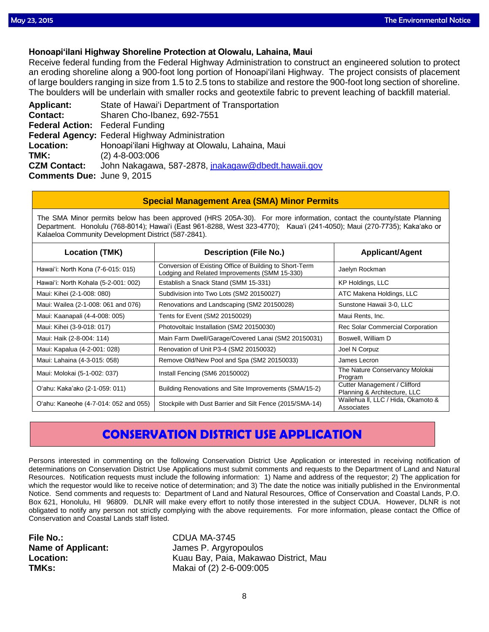### **Honoapiʻilani Highway Shoreline Protection at Olowalu, Lahaina, Maui**

Receive federal funding from the Federal Highway Administration to construct an engineered solution to protect an eroding shoreline along a 900-foot long portion of Honoapiʻilani Highway. The project consists of placement of large boulders ranging in size from 1.5 to 2.5 tons to stabilize and restore the 900-foot long section of shoreline. The boulders will be underlain with smaller rocks and geotextile fabric to prevent leaching of backfill material.

**Applicant:** State of Hawai'i Department of Transportation **Contact:** Sharen Cho-Ibanez, 692-7551 **Federal Action:** Federal Funding **Federal Agency:** Federal Highway Administration **Location:** Honoapiʻilani Highway at Olowalu, Lahaina, Maui **TMK:** (2) 4-8-003:006 **CZM Contact:** John Nakagawa, 587-2878, [jnakagaw@dbedt.hawaii.gov](mailto:jnakagaw@dbedt.hawaii.gov) **Comments Due:** June 9, 2015

### **Special Management Area (SMA) Minor Permits**

The SMA Minor permits below has been approved (HRS 205A-30). For more information, contact the county/state Planning Department. Honolulu (768-8014); Hawaiʻi (East 961-8288, West 323-4770); Kauaʻi (241-4050); Maui (270-7735); Kakaʻako or Kalaeloa Community Development District (587-2841).

| <b>Location (TMK)</b>                 | <b>Description (File No.)</b>                                                                            | <b>Applicant/Agent</b>                                       |
|---------------------------------------|----------------------------------------------------------------------------------------------------------|--------------------------------------------------------------|
| Hawai'i: North Kona (7-6-015: 015)    | Conversion of Existing Office of Building to Short-Term<br>Lodging and Related Improvements (SMM 15-330) | Jaelyn Rockman                                               |
| Hawai'i: North Kohala (5-2-001: 002)  | Establish a Snack Stand (SMM 15-331)                                                                     | KP Holdings, LLC                                             |
| Maui: Kihei (2-1-008: 080)            | Subdivision into Two Lots (SM2 20150027)                                                                 | ATC Makena Holdings, LLC                                     |
| Maui: Wailea (2-1-008: 061 and 076)   | Renovations and Landscaping (SM2 20150028)                                                               | Sunstone Hawaii 3-0, LLC                                     |
| Maui: Kaanapali (4-4-008: 005)        | Tents for Event (SM2 20150029)                                                                           | Maui Rents, Inc.                                             |
| Maui: Kihei (3-9-018: 017)            | Photovoltaic Installation (SM2 20150030)                                                                 | Rec Solar Commercial Corporation                             |
| Maui: Haik (2-8-004: 114)             | Main Farm Dwell/Garage/Covered Lanai (SM2 20150031)                                                      | Boswell, William D                                           |
| Maui: Kapalua (4-2-001: 028)          | Renovation of Unit P3-4 (SM2 20150032)                                                                   | Joel N Corpuz                                                |
| Maui: Lahaina (4-3-015: 058)          | Remove Old/New Pool and Spa (SM2 20150033)                                                               | James Lecron                                                 |
| Maui: Molokai (5-1-002: 037)          | Install Fencing (SM6 20150002)                                                                           | The Nature Conservancy Molokai<br>Program                    |
| O'ahu: Kaka'ako (2-1-059: 011)        | Building Renovations and Site Improvements (SMA/15-2)                                                    | Cutter Management / Clifford<br>Planning & Architecture, LLC |
| O'ahu: Kaneohe (4-7-014: 052 and 055) | Stockpile with Dust Barrier and Silt Fence (2015/SMA-14)                                                 | Wailehua II, LLC / Hida, Okamoto &<br>Associates             |

# **CONSERVATION DISTRICT USE APPLICATION**

Persons interested in commenting on the following Conservation District Use Application or interested in receiving notification of determinations on Conservation District Use Applications must submit comments and requests to the Department of Land and Natural Resources. Notification requests must include the following information: 1) Name and address of the requestor; 2) The application for which the requestor would like to receive notice of determination; and 3) The date the notice was initially published in the Environmental Notice. Send comments and requests to: Department of Land and Natural Resources, Office of Conservation and Coastal Lands, P.O. Box 621, Honolulu, HI 96809. DLNR will make every effort to notify those interested in the subject CDUA. However, DLNR is not obligated to notify any person not strictly complying with the above requirements. For more information, please contact the Office of Conservation and Coastal Lands staff listed.

**File No.:** CDUA MA-3745

**Name of Applicant:** James P. Argyropoulos **Location:** Kuau Bay, Paia, Makawao District, Mau **TMKs:** Makai of (2) 2-6-009:005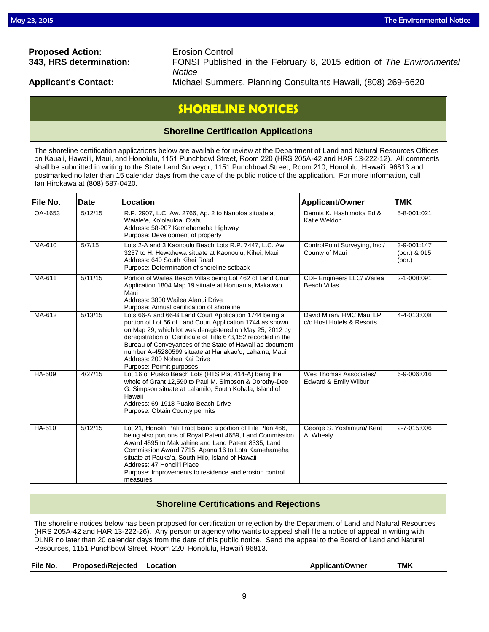# **Proposed Action:** Erosion Control

**343, HRS determination:** FONSI Published in the February 8, 2015 edition of *The Environmental Notice* 

**Applicant's Contact:** Michael Summers, Planning Consultants Hawaii, (808) 269-6620

# **SHORELINE NOTICES**

## **Shoreline Certification Applications**

The shoreline certification applications below are available for review at the Department of Land and Natural Resources Offices on Kauaʻi, Hawaiʻi, Maui, and Honolulu, 1151 Punchbowl Street, Room 220 (HRS 205A-42 and HAR 13-222-12). All comments shall be submitted in writing to the State Land Surveyor, 1151 Punchbowl Street, Room 210, Honolulu, Hawai'i 96813 and postmarked no later than 15 calendar days from the date of the public notice of the application. For more information, call Ian Hirokawa at (808) 587-0420.

| File No. | <b>Date</b> | Location                                                                                                                                                                                                                                                                                                                                                                                                                           | <b>Applicant/Owner</b>                                | <b>TMK</b>                            |
|----------|-------------|------------------------------------------------------------------------------------------------------------------------------------------------------------------------------------------------------------------------------------------------------------------------------------------------------------------------------------------------------------------------------------------------------------------------------------|-------------------------------------------------------|---------------------------------------|
| OA-1653  | 5/12/15     | R.P. 2907, L.C. Aw. 2766, Ap. 2 to Nanoloa situate at<br>Waiale'e, Ko'olauloa, O'ahu<br>Address: 58-207 Kamehameha Highway<br>Purpose: Development of property                                                                                                                                                                                                                                                                     | Dennis K. Hashimoto/ Ed &<br>Katie Weldon             | 5-8-001:021                           |
| MA-610   | 5/7/15      | Lots 2-A and 3 Kaonoulu Beach Lots R.P. 7447, L.C. Aw.<br>3237 to H. Hewahewa situate at Kaonoulu, Kihei, Maui<br>Address: 640 South Kihei Road<br>Purpose: Determination of shoreline setback                                                                                                                                                                                                                                     | ControlPoint Surveying, Inc./<br>County of Maui       | 3-9-001:147<br>(por.) & 015<br>(por.) |
| MA-611   | 5/11/15     | Portion of Wailea Beach Villas being Lot 462 of Land Court<br>Application 1804 Map 19 situate at Honuaula, Makawao,<br>Maui<br>Address: 3800 Wailea Alanui Drive<br>Purpose: Annual certification of shoreline                                                                                                                                                                                                                     | CDF Engineers LLC/ Wailea<br><b>Beach Villas</b>      | 2-1-008:091                           |
| MA-612   | 5/13/15     | Lots 66-A and 66-B Land Court Application 1744 being a<br>portion of Lot 66 of Land Court Application 1744 as shown<br>on Map 29, which lot was deregistered on May 25, 2012 by<br>deregistration of Certificate of Title 673,152 recorded in the<br>Bureau of Conveyances of the State of Hawaii as document<br>number A-45280599 situate at Hanakao'o, Lahaina, Maui<br>Address: 200 Nohea Kai Drive<br>Purpose: Permit purposes | David Miran/ HMC Maui LP<br>c/o Host Hotels & Resorts | 4-4-013:008                           |
| HA-509   | 4/27/15     | Lot 16 of Puako Beach Lots (HTS Plat 414-A) being the<br>whole of Grant 12,590 to Paul M. Simpson & Dorothy-Dee<br>G. Simpson situate at Lalamilo, South Kohala, Island of<br>Hawaii<br>Address: 69-1918 Puako Beach Drive<br>Purpose: Obtain County permits                                                                                                                                                                       | Wes Thomas Associates/<br>Edward & Emily Wilbur       | 6-9-006:016                           |
| HA-510   | 5/12/15     | Lot 21, Honoli'i Pali Tract being a portion of File Plan 466,<br>being also portions of Royal Patent 4659, Land Commission<br>Award 4595 to Makuahine and Land Patent 8335, Land<br>Commission Award 7715, Apana 16 to Lota Kamehameha<br>situate at Pauka'a, South Hilo, Island of Hawaii<br>Address: 47 Honoli'i Place<br>Purpose: Improvements to residence and erosion control<br>measures                                     | George S. Yoshimura/ Kent<br>A. Whealy                | 2-7-015:006                           |

## **Shoreline Certifications and Rejections**

The shoreline notices below has been proposed for certification or rejection by the Department of Land and Natural Resources (HRS 205A-42 and HAR 13-222-26). Any person or agency who wants to appeal shall file a notice of appeal in writing with DLNR no later than 20 calendar days from the date of this public notice. Send the appeal to the Board of Land and Natural Resources, 1151 Punchbowl Street, Room 220, Honolulu, Hawai'i 96813.

| File No.<br><b>Proposed/Rejected</b> | Location | <b>Applicant/Owner</b> | <b>TMK</b> |
|--------------------------------------|----------|------------------------|------------|
|--------------------------------------|----------|------------------------|------------|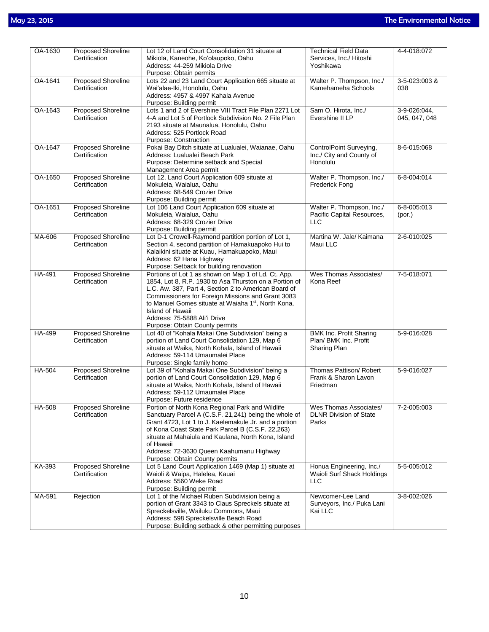| OA-1630       | <b>Proposed Shoreline</b>                  | Lot 12 of Land Court Consolidation 31 situate at                                                                                                                                                                                                                                                                                                                                           | <b>Technical Field Data</b>                                             | 4-4-018:072                   |
|---------------|--------------------------------------------|--------------------------------------------------------------------------------------------------------------------------------------------------------------------------------------------------------------------------------------------------------------------------------------------------------------------------------------------------------------------------------------------|-------------------------------------------------------------------------|-------------------------------|
|               | Certification                              | Mikiola, Kaneohe, Ko'olaupoko, Oahu<br>Address: 44-259 Mikiola Drive<br>Purpose: Obtain permits                                                                                                                                                                                                                                                                                            | Services, Inc./ Hitoshi<br>Yoshikawa                                    |                               |
| OA-1641       | <b>Proposed Shoreline</b><br>Certification | Lots 22 and 23 Land Court Application 665 situate at<br>Wai'alae-Iki, Honolulu, Oahu<br>Address: 4957 & 4997 Kahala Avenue<br>Purpose: Building permit                                                                                                                                                                                                                                     | Walter P. Thompson, Inc./<br>Kamehameha Schools                         | 3-5-023:003 &<br>038          |
| OA-1643       | <b>Proposed Shoreline</b><br>Certification | Lots 1 and 2 of Evershine VIII Tract File Plan 2271 Lot<br>4-A and Lot 5 of Portlock Subdivision No. 2 File Plan<br>2193 situate at Maunalua, Honolulu, Oahu<br>Address: 525 Portlock Road<br>Purpose: Construction                                                                                                                                                                        | Sam O. Hirota, Inc./<br>Evershine II LP                                 | 3-9-026:044,<br>045, 047, 048 |
| OA-1647       | <b>Proposed Shoreline</b><br>Certification | Pokai Bay Ditch situate at Lualualei, Waianae, Oahu<br>Address: Lualualei Beach Park<br>Purpose: Determine setback and Special<br>Management Area permit                                                                                                                                                                                                                                   | ControlPoint Surveying,<br>Inc./ City and County of<br>Honolulu         | 8-6-015:068                   |
| OA-1650       | <b>Proposed Shoreline</b><br>Certification | Lot 12, Land Court Application 609 situate at<br>Mokuleia, Waialua, Oahu<br>Address: 68-549 Crozier Drive<br>Purpose: Building permit                                                                                                                                                                                                                                                      | Walter P. Thompson, Inc./<br><b>Frederick Fong</b>                      | 6-8-004:014                   |
| OA-1651       | <b>Proposed Shoreline</b><br>Certification | Lot 106 Land Court Application 609 situate at<br>Mokuleia, Waialua, Oahu<br>Address: 68-329 Crozier Drive<br>Purpose: Building permit                                                                                                                                                                                                                                                      | Walter P. Thompson, Inc./<br>Pacific Capital Resources,<br><b>LLC</b>   | 6-8-005:013<br>(por.)         |
| MA-606        | <b>Proposed Shoreline</b><br>Certification | Lot D-1 Crowell-Raymond partition portion of Lot 1,<br>Section 4, second partition of Hamakuapoko Hui to<br>Kalaikini situate at Kuau, Hamakuapoko, Maui<br>Address: 62 Hana Highway<br>Purpose: Setback for building renovation                                                                                                                                                           | Martina W. Jale/ Kaimana<br>Maui LLC                                    | 2-6-010:025                   |
| HA-491        | <b>Proposed Shoreline</b><br>Certification | Portions of Lot 1 as shown on Map 1 of Ld. Ct. App.<br>1854, Lot 8, R.P. 1930 to Asa Thurston on a Portion of<br>L.C. Aw. 387, Part 4, Section 2 to American Board of<br>Commissioners for Foreign Missions and Grant 3083<br>to Manuel Gomes situate at Waiaha 1 <sup>st</sup> , North Kona,<br><b>Island of Hawaii</b><br>Address: 75-5888 Ali'i Drive<br>Purpose: Obtain County permits | Wes Thomas Associates/<br>Kona Reef                                     | 7-5-018:071                   |
| HA-499        | <b>Proposed Shoreline</b><br>Certification | Lot 40 of "Kohala Makai One Subdivision" being a<br>portion of Land Court Consolidation 129, Map 6<br>situate at Waika, North Kohala, Island of Hawaii<br>Address: 59-114 Umaumalei Place<br>Purpose: Single family home                                                                                                                                                                   | <b>BMK Inc. Profit Sharing</b><br>Plan/ BMK Inc. Profit<br>Sharing Plan | 5-9-016:028                   |
| HA-504        | <b>Proposed Shoreline</b><br>Certification | Lot 39 of "Kohala Makai One Subdivision" being a<br>portion of Land Court Consolidation 129, Map 6<br>situate at Waika, North Kohala, Island of Hawaii<br>Address: 59-112 Umaumalei Place<br>Purpose: Future residence                                                                                                                                                                     | Thomas Pattison/ Robert<br>Frank & Sharon Lavon<br>Friedman             | 5-9-016:027                   |
| <b>HA-508</b> | Proposed Shoreline<br>Certification        | Portion of North Kona Regional Park and Wildlife<br>Sanctuary Parcel A (C.S.F. 21,241) being the whole of<br>Grant 4723, Lot 1 to J. Kaelemakule Jr. and a portion<br>of Kona Coast State Park Parcel B (C.S.F. 22,263)<br>situate at Mahaiula and Kaulana, North Kona, Island<br>of Hawaii<br>Address: 72-3630 Queen Kaahumanu Highway<br>Purpose: Obtain County permits                  | Wes Thomas Associates/<br><b>DLNR Division of State</b><br>Parks        | 7-2-005:003                   |
| KA-393        | <b>Proposed Shoreline</b><br>Certification | Lot 5 Land Court Application 1469 (Map 1) situate at<br>Waioli & Waipa, Halelea, Kauai<br>Address: 5560 Weke Road<br>Purpose: Building permit                                                                                                                                                                                                                                              | Honua Engineering, Inc./<br>Waioli Surf Shack Holdings<br><b>LLC</b>    | 5-5-005:012                   |
| MA-591        | Rejection                                  | Lot 1 of the Michael Ruben Subdivision being a<br>portion of Grant 3343 to Claus Spreckels situate at<br>Spreckelsville, Wailuku Commons, Maui<br>Address: 598 Spreckelsville Beach Road<br>Purpose: Building setback & other permitting purposes                                                                                                                                          | Newcomer-Lee Land<br>Surveyors, Inc./ Puka Lani<br>Kai LLC              | 3-8-002:026                   |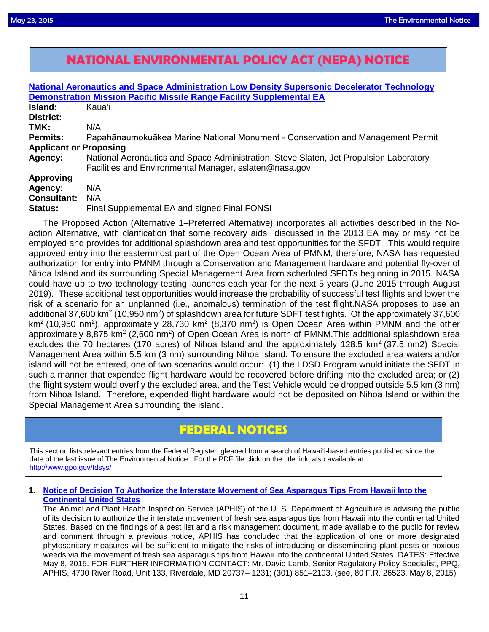# $\overline{a}$ **NATIONAL ENVIRONMENTAL POLICY ACT (NEPA) NOTICE**

|                                                                             | <b>National Aeronautics and Space Administration Low Density Supersonic Decelerator Technology</b>                                               |  |  |  |
|-----------------------------------------------------------------------------|--------------------------------------------------------------------------------------------------------------------------------------------------|--|--|--|
| <b>Demonstration Mission Pacific Missile Range Facility Supplemental EA</b> |                                                                                                                                                  |  |  |  |
| <b>Island:</b>                                                              | Kauaʻi                                                                                                                                           |  |  |  |
| <b>District:</b>                                                            |                                                                                                                                                  |  |  |  |
| TMK:                                                                        | N/A                                                                                                                                              |  |  |  |
| <b>Permits:</b>                                                             | Papahānaumokuākea Marine National Monument - Conservation and Management Permit                                                                  |  |  |  |
| <b>Applicant or Proposing</b>                                               |                                                                                                                                                  |  |  |  |
| Agency:                                                                     | National Aeronautics and Space Administration, Steve Slaten, Jet Propulsion Laboratory<br>Facilities and Environmental Manager, sslaten@nasa.gov |  |  |  |
| <b>Approving</b><br>Agency:<br><b>Consultant:</b><br>Status:                | N/A<br>N/A<br>Final Supplemental EA and signed Final FONSI                                                                                       |  |  |  |

The Proposed Action (Alternative 1–Preferred Alternative) incorporates all activities described in the Noaction Alternative, with clarification that some recovery aids discussed in the 2013 EA may or may not be employed and provides for additional splashdown area and test opportunities for the SFDT. This would require approved entry into the easternmost part of the Open Ocean Area of PMNM; therefore, NASA has requested authorization for entry into PMNM through a Conservation and Management hardware and potential fly-over of Nihoa Island and its surrounding Special Management Area from scheduled SFDTs beginning in 2015. NASA could have up to two technology testing launches each year for the next 5 years (June 2015 through August 2019). These additional test opportunities would increase the probability of successful test flights and lower the risk of a scenario for an unplanned (i.e., anomalous) termination of the test flight.NASA proposes to use an additional 37,600 km<sup>2</sup> (10,950 nm<sup>2</sup>) of splashdown area for future SDFT test flights. Of the approximately 37,600 km<sup>2</sup> (10,950 nm<sup>2</sup>), approximately 28,730 km<sup>2</sup> (8,370 nm<sup>2</sup>) is Open Ocean Area within PMNM and the other approximately 8,875 km<sup>2</sup> (2,600 nm<sup>2</sup>) of Open Ocean Area is north of PMNM.This additional splashdown area excludes the 70 hectares (170 acres) of Nihoa Island and the approximately 128.5 km<sup>2</sup> (37.5 nm2) Special Management Area within 5.5 km (3 nm) surrounding Nihoa Island. To ensure the excluded area waters and/or island will not be entered, one of two scenarios would occur: (1) the LDSD Program would initiate the SFDT in such a manner that expended flight hardware would be recovered before drifting into the excluded area; or (2) the flight system would overfly the excluded area, and the Test Vehicle would be dropped outside 5.5 km (3 nm) from Nihoa Island. Therefore, expended flight hardware would not be deposited on Nihoa Island or within the Special Management Area surrounding the island.

# **FEDERAL NOTICES**

This section lists relevant entries from the Federal Register, gleaned from a search of Hawai'i-based entries published since the date of the last issue of The Environmental Notice. For the PDF file click on the title link, also available at <http://www.gpo.gov/fdsys/>

### **1. [Notice of Decision To Authorize the Interstate Movement of Sea Asparagus Tips From Hawaii Into the](http://www.gpo.gov/fdsys/pkg/FR-2015-05-08/pdf/2015-11124.pdf)  [Continental United States](http://www.gpo.gov/fdsys/pkg/FR-2015-05-08/pdf/2015-11124.pdf)**

The Animal and Plant Health Inspection Service (APHIS) of the U. S. Department of Agriculture is advising the public of its decision to authorize the interstate movement of fresh sea asparagus tips from Hawaii into the continental United States. Based on the findings of a pest list and a risk management document, made available to the public for review and comment through a previous notice, APHIS has concluded that the application of one or more designated phytosanitary measures will be sufficient to mitigate the risks of introducing or disseminating plant pests or noxious weeds via the movement of fresh sea asparagus tips from Hawaii into the continental United States. DATES: Effective May 8, 2015. FOR FURTHER INFORMATION CONTACT: Mr. David Lamb, Senior Regulatory Policy Specialist, PPQ, APHIS, 4700 River Road, Unit 133, Riverdale, MD 20737– 1231; (301) 851–2103. (see, 80 F.R. 26523, May 8, 2015)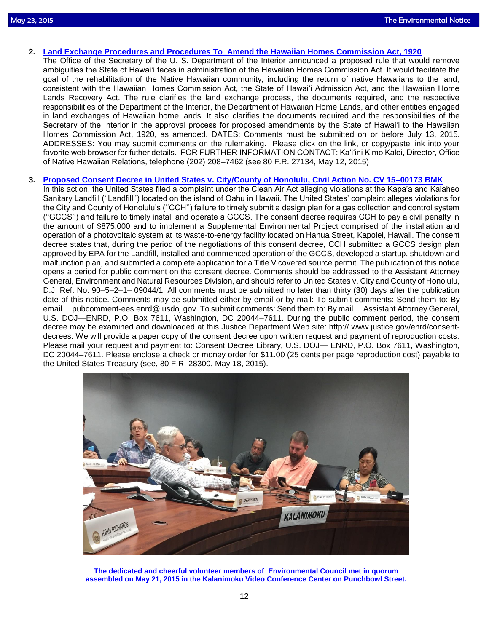- **2. [Land Exchange Procedures and Procedures To Amend the Hawaiian Homes Commission Act, 1920](http://www.gpo.gov/fdsys/pkg/FR-2015-05-12/pdf/2015-11401.pdf)** 
	- The Office of the Secretary of the U. S. Department of the Interior announced a proposed rule that would remove ambiguities the State of Hawai'i faces in administration of the Hawaiian Homes Commission Act. It would facilitate the goal of the rehabilitation of the Native Hawaiian community, including the return of native Hawaiians to the land, consistent with the Hawaiian Homes Commission Act, the State of Hawai'i Admission Act, and the Hawaiian Home Lands Recovery Act. The rule clarifies the land exchange process, the documents required, and the respective responsibilities of the Department of the Interior, the Department of Hawaiian Home Lands, and other entities engaged in land exchanges of Hawaiian home lands. It also clarifies the documents required and the responsibilities of the Secretary of the Interior in the approval process for proposed amendments by the State of Hawai'i to the Hawaiian Homes Commission Act, 1920, as amended. DATES: Comments must be submitted on or before July 13, 2015. ADDRESSES: You may submit comments on the rulemaking. Please click on the link, or copy/paste link into your favorite web browser for futher details. FOR FURTHER INFORMATION CONTACT: Ka'i'ini Kimo Kaloi, Director, Office of Native Hawaiian Relations, telephone (202) 208–7462 (see 80 F.R. 27134, May 12, 2015)
- **3. [Proposed Consent Decree in United States v. City/County of Honolulu, Civil Action No. CV 15–00173 BMK](http://www.gpo.gov/fdsys/pkg/FR-2015-05-18/pdf/2015-11880.pdf)** 
	- In this action, the United States filed a complaint under the Clean Air Act alleging violations at the Kapa'a and Kalaheo Sanitary Landfill (''Landfill'') located on the island of Oahu in Hawaii. The United States' complaint alleges violations for the City and County of Honolulu's (''CCH'') failure to timely submit a design plan for a gas collection and control system (''GCCS'') and failure to timely install and operate a GCCS. The consent decree requires CCH to pay a civil penalty in the amount of \$875,000 and to implement a Supplemental Environmental Project comprised of the installation and operation of a photovoltaic system at its waste-to-energy facility located on Hanua Street, Kapolei, Hawaii. The consent decree states that, during the period of the negotiations of this consent decree, CCH submitted a GCCS design plan approved by EPA for the Landfill, installed and commenced operation of the GCCS, developed a startup, shutdown and malfunction plan, and submitted a complete application for a Title V covered source permit. The publication of this notice opens a period for public comment on the consent decree. Comments should be addressed to the Assistant Attorney General, Environment and Natural Resources Division, and should refer to United States v. City and County of Honolulu, D.J. Ref. No. 90–5–2–1– 09044/1. All comments must be submitted no later than thirty (30) days after the publication date of this notice. Comments may be submitted either by email or by mail: To submit comments: Send them to: By email ... pubcomment-ees.enrd@ usdoj.gov. To submit comments: Send them to: By mail ... Assistant Attorney General, U.S. DOJ—ENRD, P.O. Box 7611, Washington, DC 20044–7611. During the public comment period, the consent decree may be examined and downloaded at this Justice Department Web site: http:// www.justice.gov/enrd/consentdecrees. We will provide a paper copy of the consent decree upon written request and payment of reproduction costs. Please mail your request and payment to: Consent Decree Library, U.S. DOJ— ENRD, P.O. Box 7611, Washington, DC 20044–7611. Please enclose a check or money order for \$11.00 (25 cents per page reproduction cost) payable to the United States Treasury (see, 80 F.R. 28300, May 18, 2015).



**The dedicated and cheerful volunteer members of Environmental Council met in quorum assembled on May 21, 2015 in the Kalanimoku Video Conference Center on Punchbowl Street.**